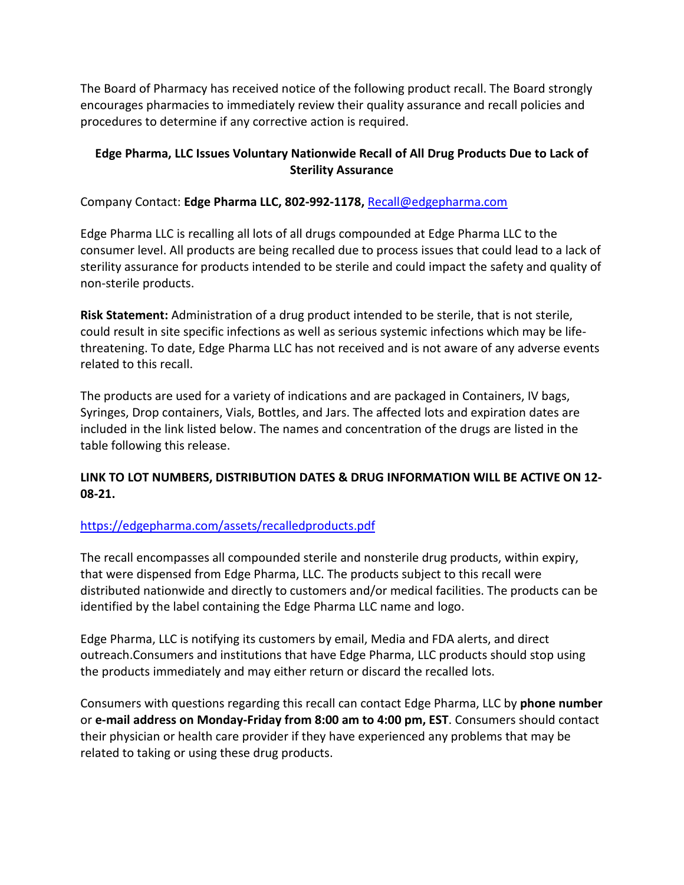The Board of Pharmacy has received notice of the following product recall. The Board strongly encourages pharmacies to immediately review their quality assurance and recall policies and procedures to determine if any corrective action is required.

## **Edge Pharma, LLC Issues Voluntary Nationwide Recall of All Drug Products Due to Lack of Sterility Assurance**

Company Contact: **Edge Pharma LLC, 802-992-1178,** [Recall@edgepharma.com](mailto:Recall@edgepharma.com) 

 consumer level. All products are being recalled due to process issues that could lead to a lack of Edge Pharma LLC is recalling all lots of all drugs compounded at Edge Pharma LLC to the sterility assurance for products intended to be sterile and could impact the safety and quality of non-sterile products.

 **Risk Statement:** Administration of a drug product intended to be sterile, that is not sterile, threatening. To date, Edge Pharma LLC has not received and is not aware of any adverse events could result in site specific infections as well as serious systemic infections which may be liferelated to this recall.

 The products are used for a variety of indications and are packaged in Containers, IV bags, Syringes, Drop containers, Vials, Bottles, and Jars. The affected lots and expiration dates are included in the link listed below. The names and concentration of the drugs are listed in the table following this release.

## **LINK TO LOT NUMBERS, DISTRIBUTION DATES & DRUG INFORMATION WILL BE ACTIVE ON 12- 08-21.**

## [https://edgepharma.com/assets/recalledproducts.pdf](https://urldefense.proofpoint.com/v2/url?u=https-3A__edgepharma.com_assets_recalledproducts.pdf&d=DwQFaQ&c=LHIwbLRMLqgNuqr1uGLfTA&r=2ykM7j3cEyKMbR6Jyy9zHSWNI2CvWOWnZeKnQ2Nqs2w&m=_hg4N1IbjD1diPAOJe2-i5ph37YJSuANob0Hi0u682gOdDMRSmBMTLOevIUW9FKL&s=s0bbEk4o8s88QxdS5Bafj9q0TxEXQD0la2CxUuRhECg&e=)

 that were dispensed from Edge Pharma, LLC. The products subject to this recall were The recall encompasses all compounded sterile and nonsterile drug products, within expiry, distributed nationwide and directly to customers and/or medical facilities. The products can be identified by the label containing the Edge Pharma LLC name and logo.

Edge Pharma, LLC is notifying its customers by email, Media and FDA alerts, and direct outreach.Consumers and institutions that have Edge Pharma, LLC products should stop using the products immediately and may either return or discard the recalled lots.

 Consumers with questions regarding this recall can contact Edge Pharma, LLC by **phone number**  related to taking or using these drug products. or **e-mail address on Monday-Friday from 8:00 am to 4:00 pm, EST**. Consumers should contact their physician or health care provider if they have experienced any problems that may be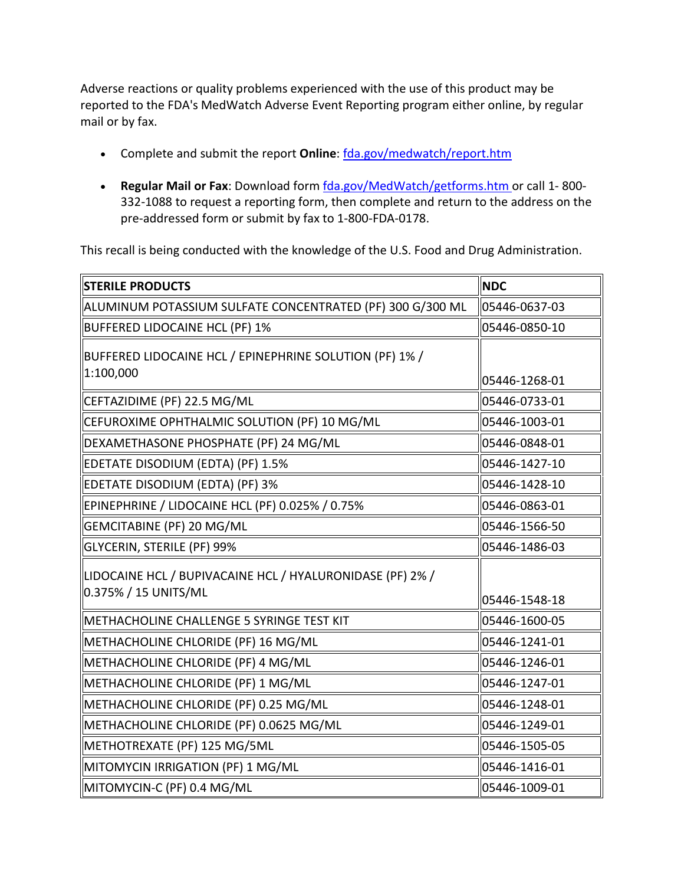Adverse reactions or quality problems experienced with the use of this product may be reported to the FDA's MedWatch Adverse Event Reporting program either online, by regular mail or by fax.

- Complete and submit the report **Online**: [fda.gov/medwatch/report.htm](https://urldefense.proofpoint.com/v2/url?u=http-3A__www.fda.gov_medwatch_report.htm&d=DwMFaQ&c=LHIwbLRMLqgNuqr1uGLfTA&r=2ykM7j3cEyKMbR6Jyy9zHSWNI2CvWOWnZeKnQ2Nqs2w&m=_hg4N1IbjD1diPAOJe2-i5ph37YJSuANob0Hi0u682gOdDMRSmBMTLOevIUW9FKL&s=3Z3lIvZBgQdMQ-DHqRwRXFBsF3Zqq1B2lyAOrNDuP6g&e=)
- pre-addressed form or submit by fax to 1-800-FDA-0178. • **Regular Mail or Fax**: Download form [fda.gov/MedWatch/getforms.htm o](https://urldefense.proofpoint.com/v2/url?u=http-3A__www.fda.gov_MedWatch_getforms.htm&d=DwMFaQ&c=LHIwbLRMLqgNuqr1uGLfTA&r=2ykM7j3cEyKMbR6Jyy9zHSWNI2CvWOWnZeKnQ2Nqs2w&m=_hg4N1IbjD1diPAOJe2-i5ph37YJSuANob0Hi0u682gOdDMRSmBMTLOevIUW9FKL&s=AkrkJPs9f7z4y96DyPMmMJ4LxfW3-2fKQFqeNNOb0VM&e=)r call 1- 800- 332-1088 to request a reporting form, then complete and return to the address on the

This recall is being conducted with the knowledge of the U.S. Food and Drug Administration.

| <b>STERILE PRODUCTS</b>                                   | <b>NDC</b>    |
|-----------------------------------------------------------|---------------|
| ALUMINUM POTASSIUM SULFATE CONCENTRATED (PF) 300 G/300 ML | 05446-0637-03 |
| BUFFERED LIDOCAINE HCL (PF) 1%                            | 05446-0850-10 |
| BUFFERED LIDOCAINE HCL / EPINEPHRINE SOLUTION (PF) 1% /   |               |
| 1:100,000                                                 | 05446-1268-01 |
| CEFTAZIDIME (PF) 22.5 MG/ML                               | 05446-0733-01 |
| CEFUROXIME OPHTHALMIC SOLUTION (PF) 10 MG/ML              | 05446-1003-01 |
| DEXAMETHASONE PHOSPHATE (PF) 24 MG/ML                     | 05446-0848-01 |
| EDETATE DISODIUM (EDTA) (PF) 1.5%                         | 05446-1427-10 |
| EDETATE DISODIUM (EDTA) (PF) 3%                           | 05446-1428-10 |
| EPINEPHRINE / LIDOCAINE HCL (PF) 0.025% / 0.75%           | 05446-0863-01 |
| GEMCITABINE (PF) 20 MG/ML                                 | 05446-1566-50 |
| GLYCERIN, STERILE (PF) 99%                                | 05446-1486-03 |
| LIDOCAINE HCL / BUPIVACAINE HCL / HYALURONIDASE (PF) 2% / |               |
| 0.375% / 15 UNITS/ML                                      | 05446-1548-18 |
| $\,$ IMETHACHOLINE CHALLENGE 5 SYRINGE TEST KIT           | 05446-1600-05 |
| METHACHOLINE CHLORIDE (PF) 16 MG/ML                       | 05446-1241-01 |
| METHACHOLINE CHLORIDE (PF) 4 MG/ML                        | 05446-1246-01 |
| METHACHOLINE CHLORIDE (PF) 1 MG/ML                        | 05446-1247-01 |
| METHACHOLINE CHLORIDE (PF) 0.25 MG/ML                     | 05446-1248-01 |
| METHACHOLINE CHLORIDE (PF) 0.0625 MG/ML                   | 05446-1249-01 |
| METHOTREXATE (PF) 125 MG/5ML                              | 05446-1505-05 |
| MITOMYCIN IRRIGATION (PF) 1 MG/ML                         | 05446-1416-01 |
| MITOMYCIN-C (PF) 0.4 MG/ML                                | 05446-1009-01 |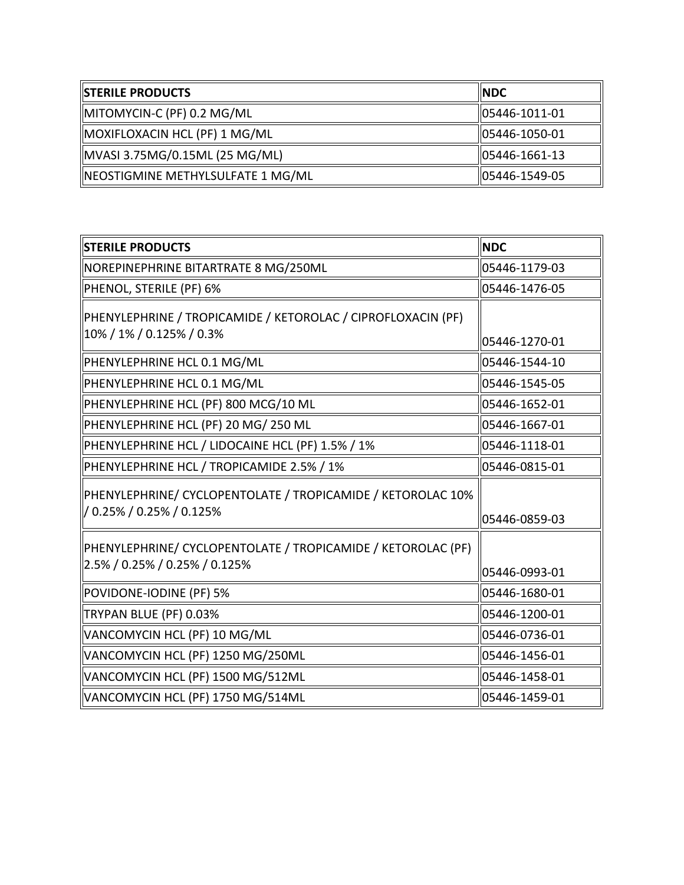| STERILE PRODUCTS                              | <b>INDC</b>               |
|-----------------------------------------------|---------------------------|
| MITOMYCIN-C (PF) 0.2 MG/ML                    | $\parallel$ 05446-1011-01 |
| MOXIFLOXACIN HCL (PF) 1 MG/ML                 | 05446-1050-01             |
| MVASI 3.75MG/0.15ML (25 MG/ML)                | $\parallel$ 05446-1661-13 |
| $\parallel$ NEOSTIGMINE METHYLSULFATE 1 MG/ML | 05446-1549-05             |

| STERILE PRODUCTS                                                                              | <b>NDC</b>    |
|-----------------------------------------------------------------------------------------------|---------------|
| NOREPINEPHRINE BITARTRATE 8 MG/250ML                                                          | 05446-1179-03 |
| PHENOL, STERILE (PF) 6%                                                                       | 05446-1476-05 |
| PHENYLEPHRINE / TROPICAMIDE / KETOROLAC / CIPROFLOXACIN (PF)<br>10% / 1% / 0.125% / 0.3%      | 05446-1270-01 |
| PHENYLEPHRINE HCL 0.1 MG/ML                                                                   | 05446-1544-10 |
| PHENYLEPHRINE HCL 0.1 MG/ML                                                                   | 05446-1545-05 |
| PHENYLEPHRINE HCL (PF) 800 MCG/10 ML                                                          | 05446-1652-01 |
| PHENYLEPHRINE HCL (PF) 20 MG/ 250 ML                                                          | 05446-1667-01 |
| PHENYLEPHRINE HCL / LIDOCAINE HCL (PF) 1.5% / 1%                                              | 05446-1118-01 |
| PHENYLEPHRINE HCL / TROPICAMIDE 2.5% / 1%                                                     | 05446-0815-01 |
| PHENYLEPHRINE/ CYCLOPENTOLATE / TROPICAMIDE / KETOROLAC 10%<br>/ 0.25% / 0.25% / 0.125%       | 05446-0859-03 |
| PHENYLEPHRINE/ CYCLOPENTOLATE / TROPICAMIDE / KETOROLAC (PF)<br>2.5% / 0.25% / 0.25% / 0.125% | 05446-0993-01 |
| POVIDONE-IODINE (PF) 5%                                                                       | 05446-1680-01 |
| TRYPAN BLUE (PF) 0.03%                                                                        | 05446-1200-01 |
| VANCOMYCIN HCL (PF) 10 MG/ML                                                                  | 05446-0736-01 |
| VANCOMYCIN HCL (PF) 1250 MG/250ML                                                             | 05446-1456-01 |
| VANCOMYCIN HCL (PF) 1500 MG/512ML                                                             | 05446-1458-01 |
| VANCOMYCIN HCL (PF) 1750 MG/514ML                                                             | 05446-1459-01 |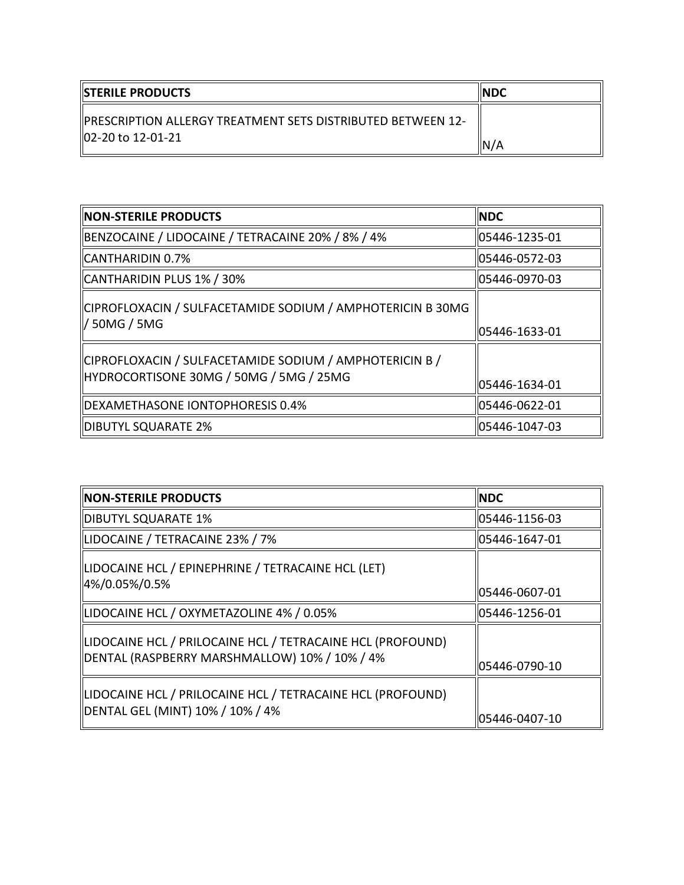| <b>ISTERILE PRODUCTS</b>                                                           | <b>INDC</b> |
|------------------------------------------------------------------------------------|-------------|
| PRESCRIPTION ALLERGY TREATMENT SETS DISTRIBUTED BETWEEN 12-<br>ll02-20 to 12-01-21 | IN/A        |

| <b>INON-STERILE PRODUCTS</b>                                                                       | <b>NDC</b>      |
|----------------------------------------------------------------------------------------------------|-----------------|
| BENZOCAINE / LIDOCAINE / TETRACAINE 20% / 8% / 4%                                                  | 05446-1235-01   |
| CANTHARIDIN 0.7%                                                                                   | ll05446-0572-03 |
| CANTHARIDIN PLUS 1% / 30%                                                                          | 105446-0970-03  |
| CIPROFLOXACIN / SULFACETAMIDE SODIUM / AMPHOTERICIN B 30MG<br>/ 50MG / 5MG                         | 105446-1633-01  |
| CIPROFLOXACIN / SULFACETAMIDE SODIUM / AMPHOTERICIN B /<br>HYDROCORTISONE 30MG / 50MG / 5MG / 25MG | 105446-1634-01  |
| DEXAMETHASONE IONTOPHORESIS 0.4%                                                                   | 05446-0622-01   |
| <b>DIBUTYL SQUARATE 2%</b>                                                                         | 05446-1047-03   |

| <b>NON-STERILE PRODUCTS</b>                                                                                 | <b>NDC</b>    |
|-------------------------------------------------------------------------------------------------------------|---------------|
| <b>DIBUTYL SQUARATE 1%</b>                                                                                  | 05446-1156-03 |
| LIDOCAINE / TETRACAINE 23% / 7%                                                                             | 05446-1647-01 |
| LIDOCAINE HCL / EPINEPHRINE / TETRACAINE HCL (LET)<br>4%/0.05%/0.5%                                         | 05446-0607-01 |
| LIDOCAINE HCL / OXYMETAZOLINE 4% / 0.05%                                                                    | 05446-1256-01 |
| LIDOCAINE HCL / PRILOCAINE HCL / TETRACAINE HCL (PROFOUND)<br>DENTAL (RASPBERRY MARSHMALLOW) 10% / 10% / 4% | 05446-0790-10 |
| LIDOCAINE HCL / PRILOCAINE HCL / TETRACAINE HCL (PROFOUND)<br>DENTAL GEL (MINT) 10% / 10% / 4%              | 05446-0407-10 |